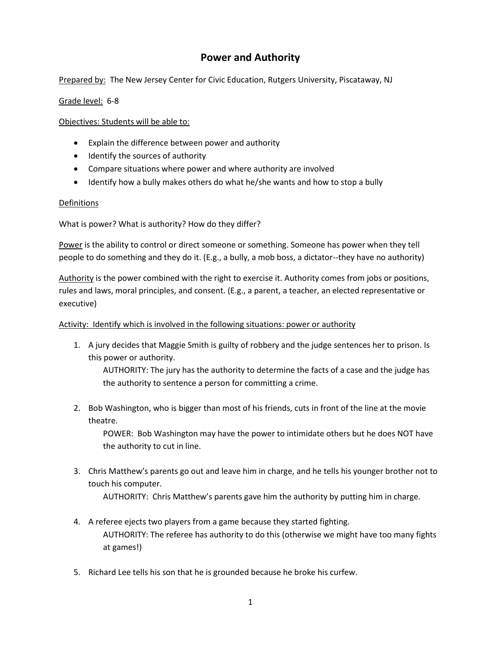# **Power and Authority**

Prepared by: The New Jersey Center for Civic Education, Rutgers University, Piscataway, NJ

Grade level: 6-8

Objectives: Students will be able to:

- Explain the difference between power and authority
- Identify the sources of authority
- Compare situations where power and where authority are involved
- Identify how a bully makes others do what he/she wants and how to stop a bully

# Definitions

What is power? What is authority? How do they differ?

Power is the ability to control or direct someone or something. Someone has power when they tell people to do something and they do it. (E.g., a bully, a mob boss, a dictator--they have no authority)

Authority is the power combined with the right to exercise it. Authority comes from jobs or positions, rules and laws, moral principles, and consent. (E.g., a parent, a teacher, an elected representative or executive)

# Activity: Identify which is involved in the following situations: power or authority

1. A jury decides that Maggie Smith is guilty of robbery and the judge sentences her to prison. Is this power or authority.

AUTHORITY: The jury has the authority to determine the facts of a case and the judge has the authority to sentence a person for committing a crime.

2. Bob Washington, who is bigger than most of his friends, cuts in front of the line at the movie theatre.

POWER: Bob Washington may have the power to intimidate others but he does NOT have the authority to cut in line.

3. Chris Matthew's parents go out and leave him in charge, and he tells his younger brother not to touch his computer.

AUTHORITY: Chris Matthew's parents gave him the authority by putting him in charge.

- 4. A referee ejects two players from a game because they started fighting. AUTHORITY: The referee has authority to do this (otherwise we might have too many fights at games!)
- 5. Richard Lee tells his son that he is grounded because he broke his curfew.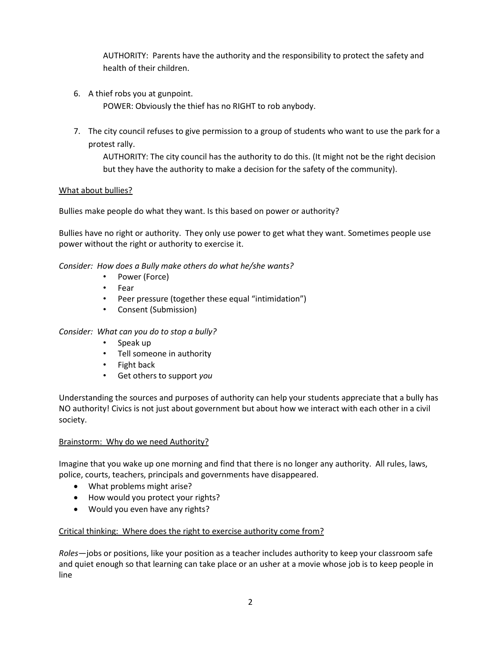AUTHORITY: Parents have the authority and the responsibility to protect the safety and health of their children.

6. A thief robs you at gunpoint.

POWER: Obviously the thief has no RIGHT to rob anybody.

7. The city council refuses to give permission to a group of students who want to use the park for a protest rally.

AUTHORITY: The city council has the authority to do this. (It might not be the right decision but they have the authority to make a decision for the safety of the community).

## What about bullies?

Bullies make people do what they want. Is this based on power or authority?

Bullies have no right or authority. They only use power to get what they want. Sometimes people use power without the right or authority to exercise it.

*Consider: How does a Bully make others do what he/she wants?*

- Power (Force)
- Fear
- Peer pressure (together these equal "intimidation")
- Consent (Submission)

## *Consider: What can you do to stop a bully?*

- Speak up
- Tell someone in authority
- Fight back
- Get others to support *you*

Understanding the sources and purposes of authority can help your students appreciate that a bully has NO authority! Civics is not just about government but about how we interact with each other in a civil society.

## Brainstorm: Why do we need Authority?

Imagine that you wake up one morning and find that there is no longer any authority. All rules, laws, police, courts, teachers, principals and governments have disappeared.

- What problems might arise?
- How would you protect your rights?
- Would you even have any rights?

## Critical thinking: Where does the right to exercise authority come from?

*Roles*—jobs or positions, like your position as a teacher includes authority to keep your classroom safe and quiet enough so that learning can take place or an usher at a movie whose job is to keep people in line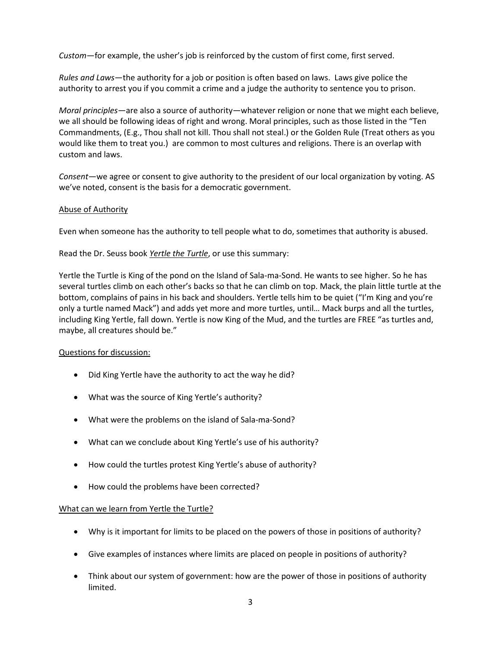*Custom*—for example, the usher's job is reinforced by the custom of first come, first served.

*Rules and Laws*—the authority for a job or position is often based on laws. Laws give police the authority to arrest you if you commit a crime and a judge the authority to sentence you to prison.

*Moral principles*—are also a source of authority—whatever religion or none that we might each believe, we all should be following ideas of right and wrong. Moral principles, such as those listed in the "Ten Commandments, (E.g., Thou shall not kill. Thou shall not steal.) or the Golden Rule (Treat others as you would like them to treat you.) are common to most cultures and religions. There is an overlap with custom and laws.

*Consent*—we agree or consent to give authority to the president of our local organization by voting. AS we've noted, consent is the basis for a democratic government.

#### Abuse of Authority

Even when someone has the authority to tell people what to do, sometimes that authority is abused.

#### Read the Dr. Seuss book *Yertle the Turtle*, or use this summary:

Yertle the Turtle is King of the pond on the Island of Sala-ma-Sond. He wants to see higher. So he has several turtles climb on each other's backs so that he can climb on top. Mack, the plain little turtle at the bottom, complains of pains in his back and shoulders. Yertle tells him to be quiet ("I'm King and you're only a turtle named Mack") and adds yet more and more turtles, until… Mack burps and all the turtles, including King Yertle, fall down. Yertle is now King of the Mud, and the turtles are FREE "as turtles and, maybe, all creatures should be."

## Questions for discussion:

- Did King Yertle have the authority to act the way he did?
- What was the source of King Yertle's authority?
- What were the problems on the island of Sala-ma-Sond?
- What can we conclude about King Yertle's use of his authority?
- How could the turtles protest King Yertle's abuse of authority?
- How could the problems have been corrected?

## What can we learn from Yertle the Turtle?

- Why is it important for limits to be placed on the powers of those in positions of authority?
- Give examples of instances where limits are placed on people in positions of authority?
- Think about our system of government: how are the power of those in positions of authority limited.